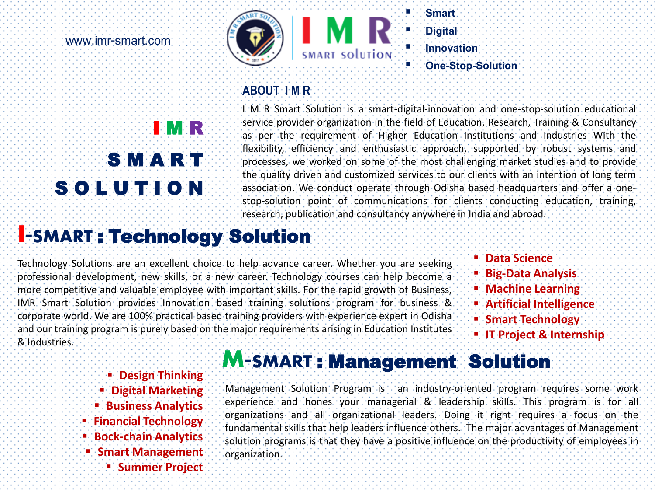**www.imr-smart.com**





#### **Smart Digital Innovation One-Stop-Solution**

#### **ABOUT I M R**

# I M R S M **A R** T S O L U T I O N

I M R Smart Solution is a smart-digital-innovation and one-stop-solution educational service provider organization in the field of Education, Research, Training & Consultancy as per the requirement of Higher Education Institutions and Industries With the flexibility, efficiency and enthusiastic approach, supported by robust systems and processes, we worked on some of the most challenging market studies and to provide the quality driven and customized services to our clients with an intention of long term association. We conduct operate through Odisha based headquarters and offer a onestop-solution point of communications for clients conducting education, training, research, publication and consultancy anywhere in India and abroad.

## **I-SMART** : Technology Solution

Technology Solutions are an excellent choice to help advance career. Whether you are seeking professional development, new skills, or a new career. Technology courses can help become a more competitive and valuable employee with important skills. For the rapid growth of Business, IMR Smart Solution provides Innovation based training solutions program for business & corporate world. We are 100% practical based training providers with experience expert in Odisha and our training program is purely based on the major requirements arising in Education Institutes & Industries.

- **Data Science**
- **Big-Data Analysis**
- **Machine Learning**
- **Artificial Intelligence**
- **Smart Technology**
- **IT Project & Internship**

- **Design Thinking**
- **Digital Marketing**
- **Business Analytics**
- **Financial Technology**
- **Bock-chain Analytics**
- **Smart Management**
	- **Summer Project**

## **M-SMART** : Management Solution

Management Solution Program is an industry-oriented program requires some work experience and hones your managerial & leadership skills. This program is for all organizations and all organizational leaders. Doing it right requires a focus on the fundamental skills that help leaders influence others. The major advantages of Management solution programs is that they have a positive influence on the productivity of employees in organization.